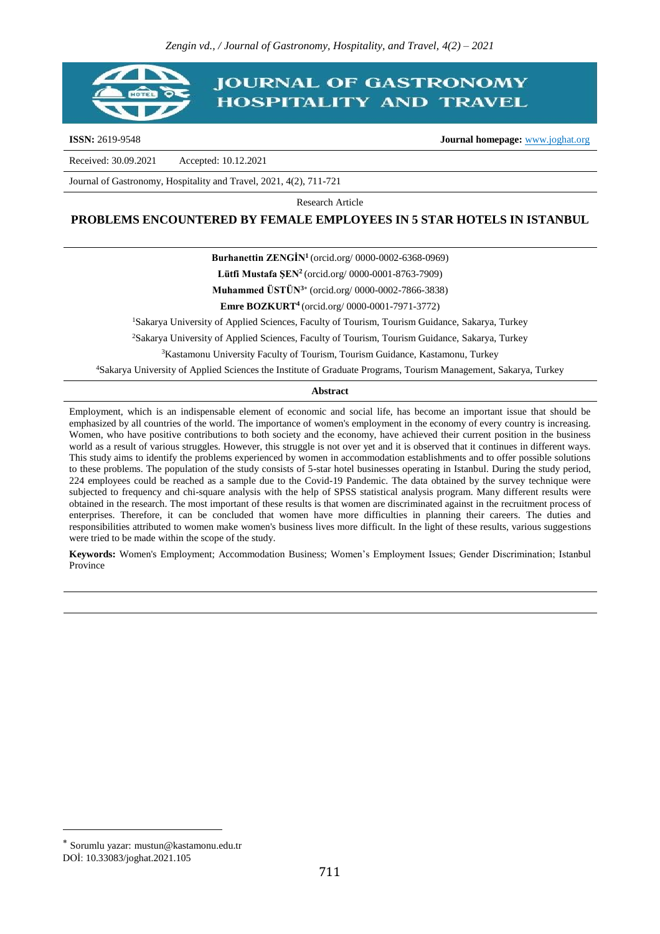# **IOURNAL OF GASTRONOMY HOSPITALITY AND TRAVEL**

**ISSN:** 2619-9548 **Journal homepage:** [www.joghat.org](http://www.joghat.org/)

Received: 30.09.2021 Accepted: 10.12.2021

Journal of Gastronomy, Hospitality and Travel, 2021, 4(2), 711-721

Research Article

#### **PROBLEMS ENCOUNTERED BY FEMALE EMPLOYEES IN 5 STAR HOTELS IN ISTANBUL**

**Burhanettin ZENGİN<sup>1</sup>**(orcid.org/ 0000-0002-6368-0969)

**Lütfi Mustafa ŞEN<sup>2</sup>**(orcid.org/ 0000-0001-8763-7909)

**Muhammed ÜSTÜN<sup>3</sup>** (orcid.org/ 0000-0002-7866-3838)

**Emre BOZKURT<sup>4</sup>**(orcid.org/ 0000-0001-7971-3772)

<sup>1</sup>Sakarya University of Applied Sciences, Faculty of Tourism, Tourism Guidance, Sakarya, Turkey

<sup>2</sup>Sakarya University of Applied Sciences, Faculty of Tourism, Tourism Guidance, Sakarya, Turkey

<sup>3</sup>Kastamonu University Faculty of Tourism, Tourism Guidance, Kastamonu, Turkey

<sup>4</sup>Sakarya University of Applied Sciences the Institute of Graduate Programs, Tourism Management, Sakarya, Turkey

#### **Abstract**

Employment, which is an indispensable element of economic and social life, has become an important issue that should be emphasized by all countries of the world. The importance of women's employment in the economy of every country is increasing. Women, who have positive contributions to both society and the economy, have achieved their current position in the business world as a result of various struggles. However, this struggle is not over yet and it is observed that it continues in different ways. This study aims to identify the problems experienced by women in accommodation establishments and to offer possible solutions to these problems. The population of the study consists of 5-star hotel businesses operating in Istanbul. During the study period, 224 employees could be reached as a sample due to the Covid-19 Pandemic. The data obtained by the survey technique were subjected to frequency and chi-square analysis with the help of SPSS statistical analysis program. Many different results were obtained in the research. The most important of these results is that women are discriminated against in the recruitment process of enterprises. Therefore, it can be concluded that women have more difficulties in planning their careers. The duties and responsibilities attributed to women make women's business lives more difficult. In the light of these results, various suggestions were tried to be made within the scope of the study.

**Keywords:** Women's Employment; Accommodation Business; Women's Employment Issues; Gender Discrimination; Istanbul Province

 $\overline{a}$ 

Sorumlu yazar: mustun@kastamonu.edu.tr DOİ: 10.33083/joghat.2021.105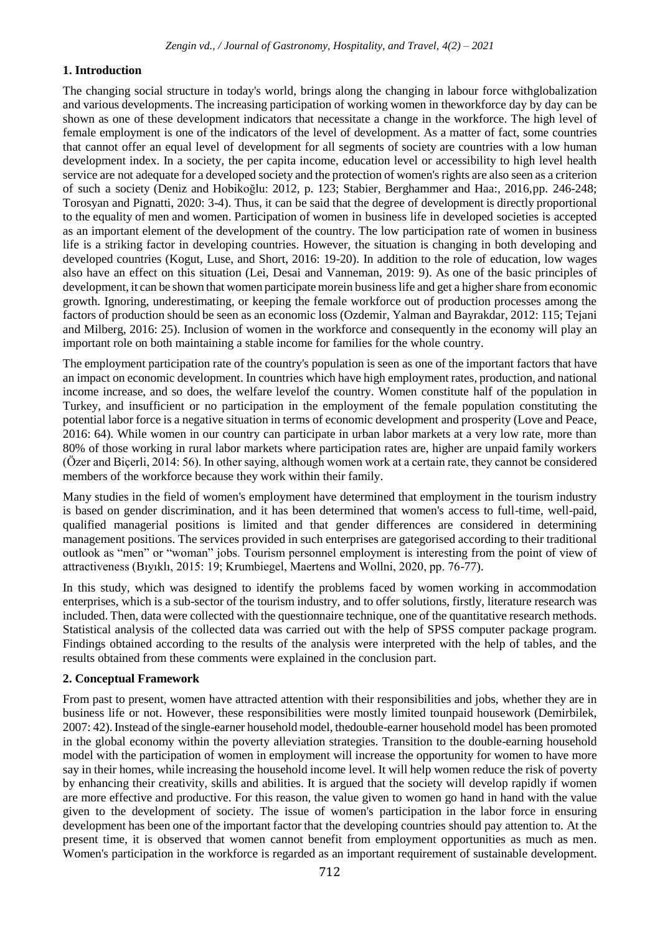# **1. Introduction**

The changing social structure in today's world, brings along the changing in labour force withglobalization and various developments. The increasing participation of working women in theworkforce day by day can be shown as one of these development indicators that necessitate a change in the workforce. The high level of female employment is one of the indicators of the level of development. As a matter of fact, some countries that cannot offer an equal level of development for all segments of society are countries with a low human development index. In a society, the per capita income, education level or accessibility to high level health service are not adequate for a developed society and the protection of women's rights are also seen as a criterion of such a society (Deniz and Hobikoğlu: 2012, p. 123; Stabier, Berghammer and Haa:, 2016, pp. 246-248; Torosyan and Pignatti, 2020: 3-4). Thus, it can be said that the degree of development is directly proportional to the equality of men and women. Participation of women in business life in developed societies is accepted as an important element of the development of the country. The low participation rate of women in business life is a striking factor in developing countries. However, the situation is changing in both developing and developed countries (Kogut, Luse, and Short, 2016: 19-20). In addition to the role of education, low wages also have an effect on this situation (Lei, Desai and Vanneman, 2019: 9). As one of the basic principles of development, it can be shown that women participate morein business life and get a higher share from economic growth. Ignoring, underestimating, or keeping the female workforce out of production processes among the factors of production should be seen as an economic loss (Ozdemir, Yalman and Bayrakdar, 2012: 115; Tejani and Milberg, 2016: 25). Inclusion of women in the workforce and consequently in the economy will play an important role on both maintaining a stable income for families for the whole country.

The employment participation rate of the country's population is seen as one of the important factors that have an impact on economic development. In countries which have high employment rates, production, and national income increase, and so does, the welfare levelof the country. Women constitute half of the population in Turkey, and insufficient or no participation in the employment of the female population constituting the potential labor force is a negative situation in terms of economic development and prosperity (Love and Peace, 2016: 64). While women in our country can participate in urban labor markets at a very low rate, more than 80% of those working in rural labor markets where participation rates are, higher are unpaid family workers (Özer and Biçerli, 2014: 56). In other saying, although women work at a certain rate, they cannot be considered members of the workforce because they work within their family.

Many studies in the field of women's employment have determined that employment in the tourism industry is based on gender discrimination, and it has been determined that women's access to full-time, well-paid, qualified managerial positions is limited and that gender differences are considered in determining management positions. The services provided in such enterprises are gategorised according to their traditional outlook as "men" or "woman" jobs. Tourism personnel employment is interesting from the point of view of attractiveness (Bıyıklı, 2015: 19; Krumbiegel, Maertens and Wollni, 2020, pp. 76-77).

In this study, which was designed to identify the problems faced by women working in accommodation enterprises, which is a sub-sector of the tourism industry, and to offer solutions, firstly, literature research was included. Then, data were collected with the questionnaire technique, one of the quantitative research methods. Statistical analysis of the collected data was carried out with the help of SPSS computer package program. Findings obtained according to the results of the analysis were interpreted with the help of tables, and the results obtained from these comments were explained in the conclusion part.

# **2. Conceptual Framework**

From past to present, women have attracted attention with their responsibilities and jobs, whether they are in business life or not. However, these responsibilities were mostly limited tounpaid housework (Demirbilek, 2007: 42).Instead of the single-earner household model, thedouble-earner household model has been promoted in the global economy within the poverty alleviation strategies. Transition to the double-earning household model with the participation of women in employment will increase the opportunity for women to have more say in their homes, while increasing the household income level. It will help women reduce the risk of poverty by enhancing their creativity, skills and abilities. It is argued that the society will develop rapidly if women are more effective and productive. For this reason, the value given to women go hand in hand with the value given to the development of society. The issue of women's participation in the labor force in ensuring development has been one of the important factor that the developing countries should pay attention to. At the present time, it is observed that women cannot benefit from employment opportunities as much as men. Women's participation in the workforce is regarded as an important requirement of sustainable development.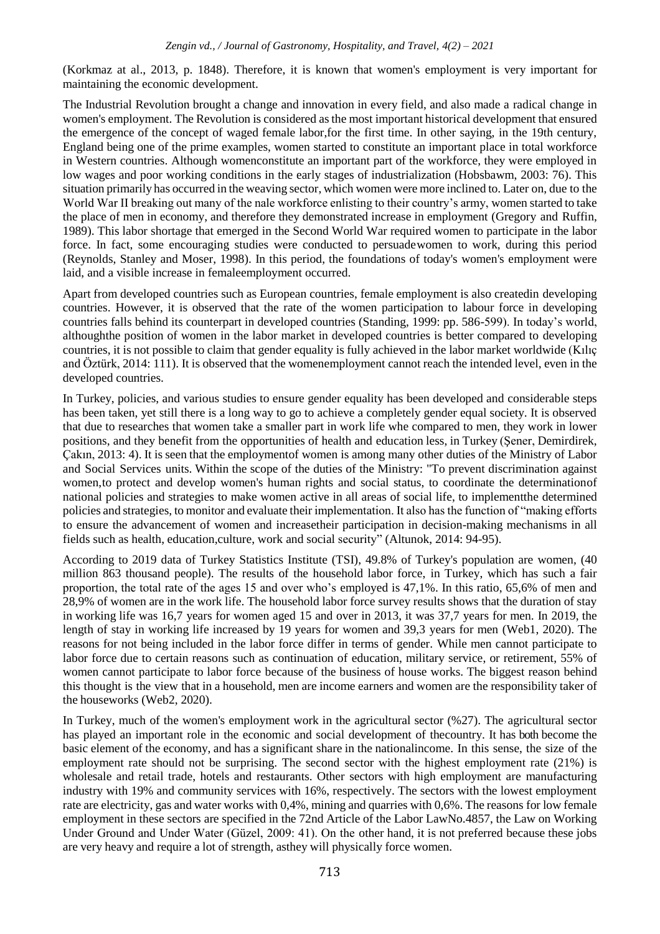(Korkmaz at al., 2013, p. 1848). Therefore, it is known that women's employment is very important for maintaining the economic development.

The Industrial Revolution brought a change and innovation in every field, and also made a radical change in women's employment. The Revolution is considered as the most important historical development that ensured the emergence of the concept of waged female labor,for the first time. In other saying, in the 19th century, England being one of the prime examples, women started to constitute an important place in total workforce in Western countries. Although womenconstitute an important part of the workforce, they were employed in low wages and poor working conditions in the early stages of industrialization (Hobsbawm, 2003: 76). This situation primarily has occurred in the weaving sector, which women were more inclined to. Later on, due to the World War II breaking out many of the nale workforce enlisting to their country's army, women started to take the place of men in economy, and therefore they demonstrated increase in employment (Gregory and Ruffin, 1989). This labor shortage that emerged in the Second World War required women to participate in the labor force. In fact, some encouraging studies were conducted to persuadewomen to work, during this period (Reynolds, Stanley and Moser, 1998). In this period, the foundations of today's women's employment were laid, and a visible increase in femaleemployment occurred.

Apart from developed countries such as European countries, female employment is also createdin developing countries. However, it is observed that the rate of the women participation to labour force in developing countries falls behind its counterpart in developed countries (Standing, 1999: pp. 586-599). In today's world, althoughthe position of women in the labor market in developed countries is better compared to developing countries, it is not possible to claim that gender equality is fully achieved in the labor market worldwide (Kılıç and Öztürk, 2014: 111). It is observed that the womenemployment cannot reach the intended level, even in the developed countries.

In Turkey, policies, and various studies to ensure gender equality has been developed and considerable steps has been taken, yet still there is a long way to go to achieve a completely gender equal society. It is observed that due to researches that women take a smaller part in work life whe compared to men, they work in lower positions, and they benefit from the opportunities of health and education less, in Turkey (Şener, Demirdirek, Çakın, 2013: 4). It is seen that the employmentof women is among many other duties of the Ministry of Labor and Social Services units. Within the scope of the duties of the Ministry: "To prevent discrimination against women,to protect and develop women's human rights and social status, to coordinate the determinationof national policies and strategies to make women active in all areas of social life, to implementthe determined policies and strategies, to monitor and evaluate their implementation. It also has the function of "making efforts to ensure the advancement of women and increasetheir participation in decision-making mechanisms in all fields such as health, education,culture, work and social security" (Altunok, 2014: 94-95).

According to 2019 data of Turkey Statistics Institute (TSI), 49.8% of Turkey's population are women, (40 million 863 thousand people). The results of the household labor force, in Turkey, which has such a fair proportion, the total rate of the ages 15 and over who's employed is 47,1%. In this ratio, 65,6% of men and 28,9% of women are in the work life. The household labor force survey results shows that the duration of stay in working life was 16,7 years for women aged 15 and over in 2013, it was 37,7 years for men. In 2019, the length of stay in working life increased by 19 years for women and 39,3 years for men (Web1, 2020). The reasons for not being included in the labor force differ in terms of gender. While men cannot participate to labor force due to certain reasons such as continuation of education, military service, or retirement, 55% of women cannot participate to labor force because of the business of house works. The biggest reason behind this thought is the view that in a household, men are income earners and women are the responsibility taker of the houseworks (Web2, 2020).

In Turkey, much of the women's employment work in the agricultural sector (%27). The agricultural sector has played an important role in the economic and social development of thecountry. It has both become the basic element of the economy, and has a significant share in the nationalincome. In this sense, the size of the employment rate should not be surprising. The second sector with the highest employment rate (21%) is wholesale and retail trade, hotels and restaurants. Other sectors with high employment are manufacturing industry with 19% and community services with 16%, respectively. The sectors with the lowest employment rate are electricity, gas and water works with 0,4%, mining and quarries with 0,6%. The reasons for low female employment in these sectors are specified in the 72nd Article of the Labor LawNo.4857, the Law on Working Under Ground and Under Water (Güzel, 2009: 41). On the other hand, it is not preferred because these jobs are very heavy and require a lot of strength, asthey will physically force women.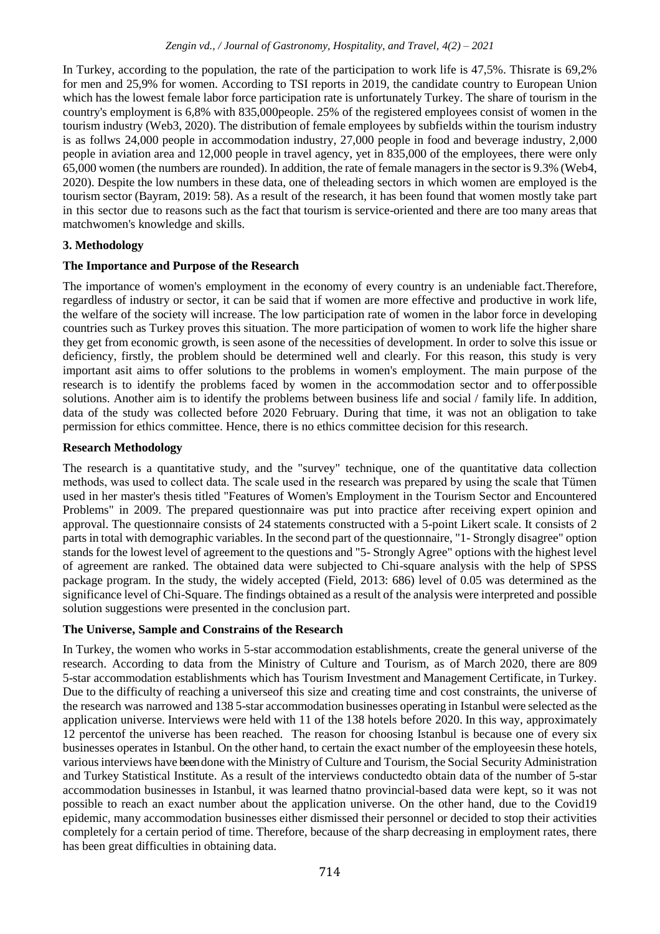In Turkey, according to the population, the rate of the participation to work life is 47,5%. Thisrate is 69,2% for men and 25,9% for women. According to TSI reports in 2019, the candidate country to European Union which has the lowest female labor force participation rate is unfortunately Turkey. The share of tourism in the country's employment is 6,8% with 835,000people. 25% of the registered employees consist of women in the tourism industry (Web3, 2020). The distribution of female employees by subfields within the tourism industry is as follws 24,000 people in accommodation industry, 27,000 people in food and beverage industry, 2,000 people in aviation area and 12,000 people in travel agency, yet in 835,000 of the employees, there were only 65,000 women (the numbers are rounded). In addition, the rate of female managersin the sector is 9.3% (Web4, 2020). Despite the low numbers in these data, one of theleading sectors in which women are employed is the tourism sector (Bayram, 2019: 58). As a result of the research, it has been found that women mostly take part in this sector due to reasons such as the fact that tourism is service-oriented and there are too many areas that matchwomen's knowledge and skills.

# **3. Methodology**

### **The Importance and Purpose of the Research**

The importance of women's employment in the economy of every country is an undeniable fact.Therefore, regardless of industry or sector, it can be said that if women are more effective and productive in work life, the welfare of the society will increase. The low participation rate of women in the labor force in developing countries such as Turkey proves this situation. The more participation of women to work life the higher share they get from economic growth, is seen asone of the necessities of development. In order to solve this issue or deficiency, firstly, the problem should be determined well and clearly. For this reason, this study is very important asit aims to offer solutions to the problems in women's employment. The main purpose of the research is to identify the problems faced by women in the accommodation sector and to offerpossible solutions. Another aim is to identify the problems between business life and social / family life. In addition, data of the study was collected before 2020 February. During that time, it was not an obligation to take permission for ethics committee. Hence, there is no ethics committee decision for this research.

### **Research Methodology**

The research is a quantitative study, and the "survey" technique, one of the quantitative data collection methods, was used to collect data. The scale used in the research was prepared by using the scale that Tümen used in her master's thesis titled "Features of Women's Employment in the Tourism Sector and Encountered Problems" in 2009. The prepared questionnaire was put into practice after receiving expert opinion and approval. The questionnaire consists of 24 statements constructed with a 5-point Likert scale. It consists of 2 parts in total with demographic variables. In the second part of the questionnaire, "1- Strongly disagree" option stands for the lowest level of agreement to the questions and "5- Strongly Agree" options with the highest level of agreement are ranked. The obtained data were subjected to Chi-square analysis with the help of SPSS package program. In the study, the widely accepted (Field, 2013: 686) level of 0.05 was determined as the significance level of Chi-Square. The findings obtained as a result of the analysis were interpreted and possible solution suggestions were presented in the conclusion part.

# **The Universe, Sample and Constrains of the Research**

In Turkey, the women who works in 5-star accommodation establishments, create the general universe of the research. According to data from the Ministry of Culture and Tourism, as of March 2020, there are 809 5-star accommodation establishments which has Tourism Investment and Management Certificate, in Turkey. Due to the difficulty of reaching a universeof this size and creating time and cost constraints, the universe of the research was narrowed and 138 5-star accommodation businesses operating in Istanbul were selected asthe application universe. Interviews were held with 11 of the 138 hotels before 2020. In this way, approximately 12 percentof the universe has been reached. The reason for choosing Istanbul is because one of every six businesses operates in Istanbul. On the other hand, to certain the exact number of the employeesin these hotels, variousinterviews have been done with the Ministry of Culture and Tourism, the Social Security Administration and Turkey Statistical Institute. As a result of the interviews conductedto obtain data of the number of 5-star accommodation businesses in Istanbul, it was learned thatno provincial-based data were kept, so it was not possible to reach an exact number about the application universe. On the other hand, due to the Covid19 epidemic, many accommodation businesses either dismissed their personnel or decided to stop their activities completely for a certain period of time. Therefore, because of the sharp decreasing in employment rates, there has been great difficulties in obtaining data.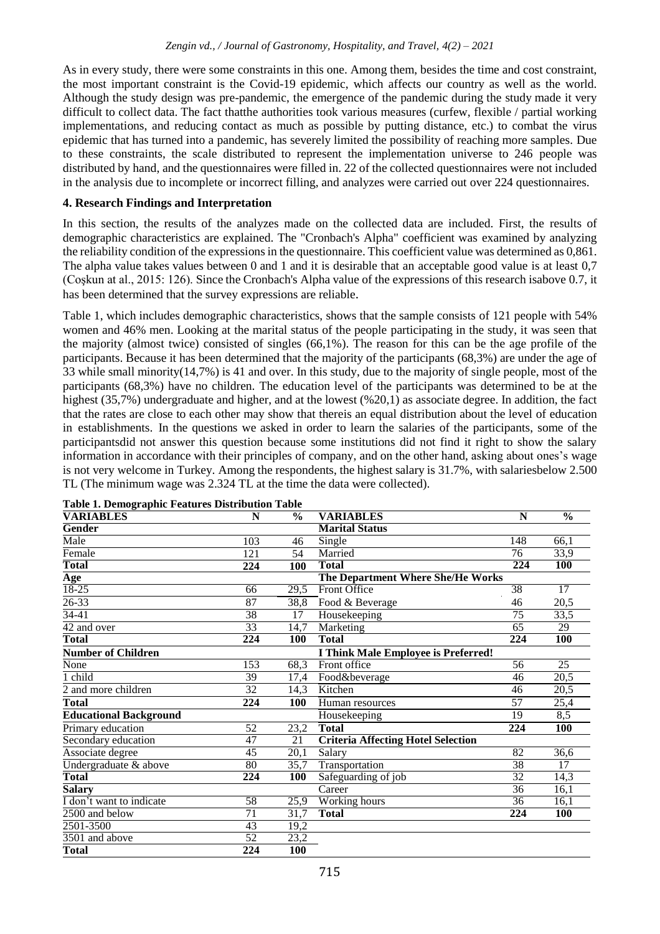As in every study, there were some constraints in this one. Among them, besides the time and cost constraint, the most important constraint is the Covid-19 epidemic, which affects our country as well as the world. Although the study design was pre-pandemic, the emergence of the pandemic during the study made it very difficult to collect data. The fact thatthe authorities took various measures (curfew, flexible / partial working implementations, and reducing contact as much as possible by putting distance, etc.) to combat the virus epidemic that has turned into a pandemic, has severely limited the possibility of reaching more samples. Due to these constraints, the scale distributed to represent the implementation universe to 246 people was distributed by hand, and the questionnaires were filled in. 22 of the collected questionnaires were not included in the analysis due to incomplete or incorrect filling, and analyzes were carried out over 224 questionnaires.

### **4. Research Findings and Interpretation**

In this section, the results of the analyzes made on the collected data are included. First, the results of demographic characteristics are explained. The "Cronbach's Alpha" coefficient was examined by analyzing the reliability condition of the expressions in the questionnaire. This coefficient value was determined as 0,861. The alpha value takes values between 0 and 1 and it is desirable that an acceptable good value is at least 0,7 (Coşkun at al., 2015: 126). Since the Cronbach's Alpha value of the expressions of this research isabove 0.7, it has been determined that the survey expressions are reliable.

Table 1, which includes demographic characteristics, shows that the sample consists of 121 people with 54% women and 46% men. Looking at the marital status of the people participating in the study, it was seen that the majority (almost twice) consisted of singles (66,1%). The reason for this can be the age profile of the participants. Because it has been determined that the majority of the participants (68,3%) are under the age of 33 while small minority(14,7%) is 41 and over. In this study, due to the majority of single people, most of the participants (68,3%) have no children. The education level of the participants was determined to be at the highest (35,7%) undergraduate and higher, and at the lowest (%20,1) as associate degree. In addition, the fact that the rates are close to each other may show that thereis an equal distribution about the level of education in establishments. In the questions we asked in order to learn the salaries of the participants, some of the participantsdid not answer this question because some institutions did not find it right to show the salary information in accordance with their principles of company, and on the other hand, asking about ones's wage is not very welcome in Turkey. Among the respondents, the highest salary is 31.7%, with salariesbelow 2.500 TL (The minimum wage was 2.324 TL at the time the data were collected).

| Table 1. Demographic Features Distribution Table<br><b>VARIABLES</b> | N   | $\frac{6}{9}$ | <b>VARIABLES</b>                          | N                | $\frac{0}{0}$ |
|----------------------------------------------------------------------|-----|---------------|-------------------------------------------|------------------|---------------|
| Gender                                                               |     |               | <b>Marital Status</b>                     |                  |               |
| Male                                                                 | 103 | 46            | Single                                    | 148              | 66,1          |
| Female                                                               | 121 | 54            | Married                                   | 76               | 33,9          |
| <b>Total</b>                                                         | 224 | 100           | <b>Total</b>                              | 224              | <b>100</b>    |
| <b>Age</b>                                                           |     |               | The Department Where She/He Works         |                  |               |
| $18 - 25$                                                            | 66  | 29,5          | Front Office                              | 38               | 17            |
| 26-33                                                                | 87  | 38,8          | Food & Beverage                           | 46               | 20,5          |
| $34 - 41$                                                            | 38  | 17            | Housekeeping                              | 75               | 33,5          |
| 42 and over                                                          | 33  | 14,7          | Marketing                                 | 65               | 29            |
| <b>Total</b>                                                         | 224 | <b>100</b>    | <b>Total</b>                              | 224              | 100           |
| <b>Number of Children</b>                                            |     |               | I Think Male Employee is Preferred!       |                  |               |
| None                                                                 | 153 | 68,3          | Front office                              | 56               | 25            |
| child                                                                | 39  | 17,4          | Food&beverage                             | 46               | 20,5          |
| 2 and more children                                                  | 32  | 14,3          | Kitchen                                   | 46               | 20,5          |
| <b>Total</b>                                                         | 224 | <b>100</b>    | Human resources                           | 57               | 25,4          |
| <b>Educational Background</b>                                        |     |               | Housekeeping                              | 19               | 8,5           |
| Primary education                                                    | 52  | 23,2          | <b>Total</b>                              | 224              | <b>100</b>    |
| Secondary education                                                  | 47  | 21            | <b>Criteria Affecting Hotel Selection</b> |                  |               |
| Associate degree                                                     | 45  | 20,1          | Salary                                    | $\overline{82}$  | 36,6          |
| Undergraduate & above                                                | 80  | 35,7          | Transportation                            | 38               | 17            |
| <b>Total</b>                                                         | 224 | <b>100</b>    | Safeguarding of job                       | 32               | 14,3          |
| <b>Salary</b>                                                        |     |               | Career                                    | $\overline{36}$  | 16,1          |
| I don't want to indicate                                             | 58  | 25,9          | Working hours                             | 36               | 16,1          |
| 2500 and below                                                       | 71  | 31,7          | <b>Total</b>                              | $\overline{224}$ | <b>100</b>    |
| 2501-3500                                                            | 43  | 19,2          |                                           |                  |               |
| 3501 and above                                                       | 52  | 23,2          |                                           |                  |               |
| <b>Total</b>                                                         | 224 | 100           |                                           |                  |               |

**Table 1. Demographic Features Distribution Table**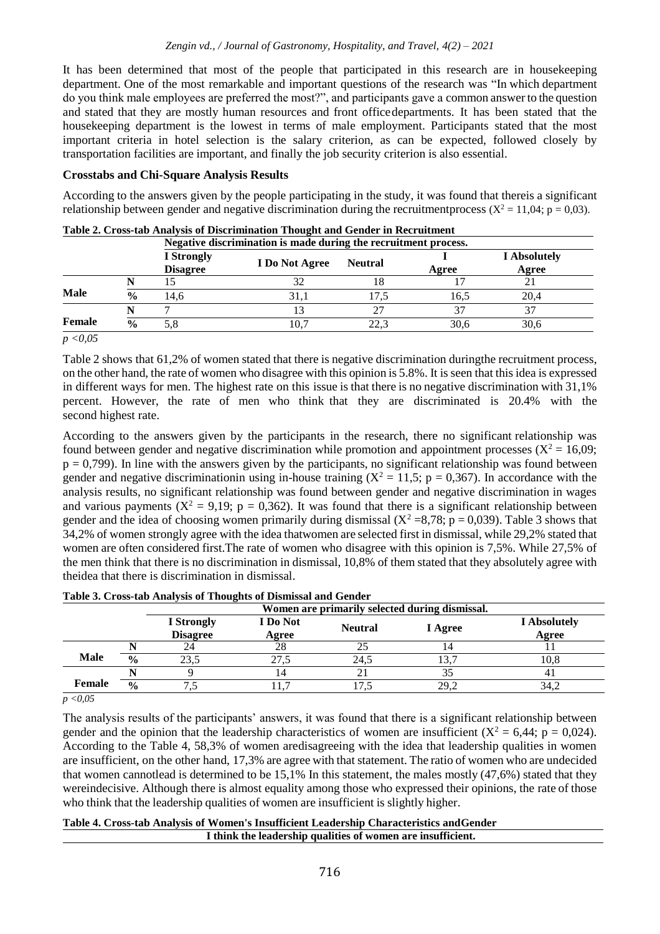It has been determined that most of the people that participated in this research are in housekeeping department. One of the most remarkable and important questions of the research was "In which department do you think male employees are preferred the most?", and participants gave a common answer to the question and stated that they are mostly human resources and front officedepartments. It has been stated that the housekeeping department is the lowest in terms of male employment. Participants stated that the most important criteria in hotel selection is the salary criterion, as can be expected, followed closely by transportation facilities are important, and finally the job security criterion is also essential.

## **Crosstabs and Chi-Square Analysis Results**

According to the answers given by the people participating in the study, it was found that thereis a significant relationship between gender and negative discrimination during the recruitmentprocess ( $X^2 = 11,04$ ; p = 0,03).

|             |               | Negative discrimination is made during the recruitment process. |                |                |       |                              |  |
|-------------|---------------|-----------------------------------------------------------------|----------------|----------------|-------|------------------------------|--|
|             |               | <b>I</b> Strongly<br><b>Disagree</b>                            | I Do Not Agree | <b>Neutral</b> | Agree | <b>I</b> Absolutely<br>Agree |  |
|             |               |                                                                 |                | 18             |       |                              |  |
| <b>Male</b> | $\frac{0}{0}$ | 14.6                                                            | 31.            | 17.5           | 16.5  | 20,4                         |  |
|             |               |                                                                 |                | 27             |       |                              |  |
| Female      | $\frac{0}{0}$ |                                                                 | 10.′           | 22.3           | 30,6  | 30,6                         |  |

|  |  | Table 2. Cross-tab Analysis of Discrimination Thought and Gender in Recruitment |
|--|--|---------------------------------------------------------------------------------|
|  |  |                                                                                 |

*p <0,05*

Table 2 shows that 61,2% of women stated that there is negative discrimination duringthe recruitment process, on the other hand, the rate of women who disagree with this opinion is 5.8%. It is seen that this idea is expressed in different ways for men. The highest rate on this issue is that there is no negative discrimination with 31,1% percent. However, the rate of men who think that they are discriminated is 20.4% with the second highest rate.

According to the answers given by the participants in the research, there no significant relationship was found between gender and negative discrimination while promotion and appointment processes ( $X^2 = 16,09$ ;  $p = 0,799$ ). In line with the answers given by the participants, no significant relationship was found between gender and negative discriminationin using in-house training  $(X^2 = 11.5; p = 0.367)$ . In accordance with the analysis results, no significant relationship was found between gender and negative discrimination in wages and various payments ( $X^2 = 9,19$ ; p = 0,362). It was found that there is a significant relationship between gender and the idea of choosing women primarily during dismissal  $(X^2 = 8,78; p = 0,039)$ . Table 3 shows that 34,2% of women strongly agree with the idea thatwomen are selected first in dismissal, while 29,2% stated that women are often considered first. The rate of women who disagree with this opinion is 7,5%. While 27,5% of the men think that there is no discrimination in dismissal, 10,8% of them stated that they absolutely agree with theidea that there is discrimination in dismissal.

|                |               | Women are primarily selected during dismissal. |                   |                |         |                              |
|----------------|---------------|------------------------------------------------|-------------------|----------------|---------|------------------------------|
|                |               | <b>I</b> Strongly<br><b>Disagree</b>           | I Do Not<br>Agree | <b>Neutral</b> | I Agree | <b>I</b> Absolutely<br>Agree |
|                |               |                                                | 28                |                |         |                              |
| <b>Male</b>    | $\frac{0}{0}$ | 23.5                                           | 27.5              | 24.5           |         | 10.8                         |
|                |               |                                                |                   |                |         |                              |
| Female         | $\frac{0}{0}$ |                                                |                   |                | 29.2    | 34,2                         |
| $\overline{a}$ |               |                                                |                   |                |         |                              |

|  |  | Table 3. Cross-tab Analysis of Thoughts of Dismissal and Gender |
|--|--|-----------------------------------------------------------------|
|  |  |                                                                 |

*p <0,05*

The analysis results of the participants' answers, it was found that there is a significant relationship between gender and the opinion that the leadership characteristics of women are insufficient  $(X^2 = 6,44; p = 0,024)$ . According to the Table 4, 58,3% of women aredisagreeing with the idea that leadership qualities in women are insufficient, on the other hand, 17,3% are agree with that statement. The ratio of women who are undecided that women cannotlead is determined to be 15,1% In this statement, the males mostly (47,6%) stated that they wereindecisive. Although there is almost equality among those who expressed their opinions, the rate of those who think that the leadership qualities of women are insufficient is slightly higher.

#### **Table 4. Cross-tab Analysis of Women's Insufficient Leadership Characteristics andGender I think the leadership qualities of women are insufficient.**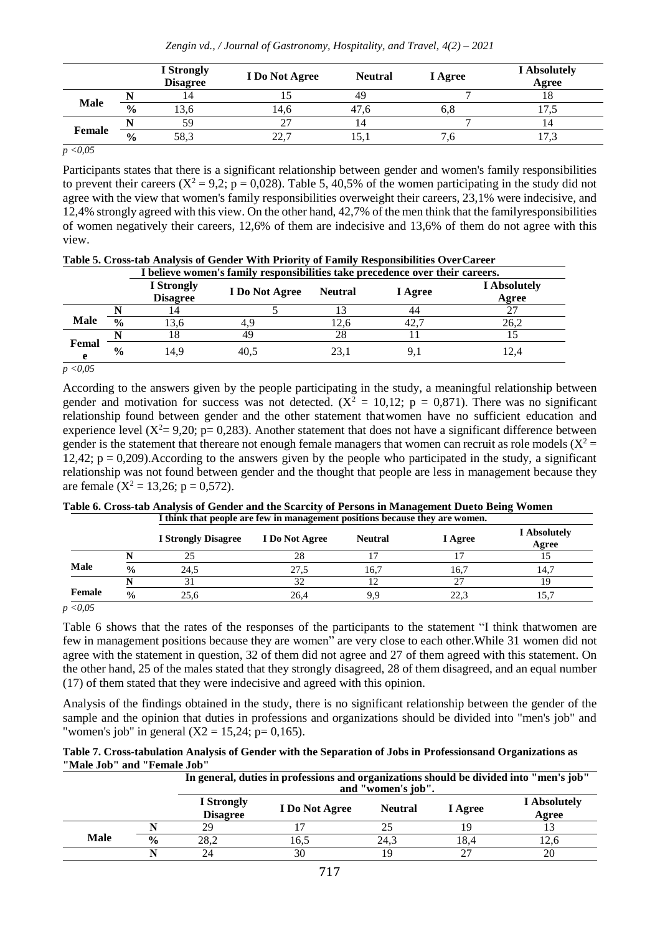|             |               | <b>I</b> Strongly<br><b>Disagree</b> | <b>I</b> Do Not Agree | <b>Neutral</b> | I Agree | <b>I</b> Absolutely<br>Agree |
|-------------|---------------|--------------------------------------|-----------------------|----------------|---------|------------------------------|
|             |               |                                      |                       | 49             |         |                              |
| <b>Male</b> | $\frac{6}{6}$ | .3.0                                 | 14,6                  | 47.6           | o.o     |                              |
|             |               | 59                                   | 27<br>∠               |                |         | 14                           |
| Female      | $\frac{6}{6}$ | 58,3                                 | 22.7                  | 15.1           | ۰. 0    | 17.3                         |
|             |               |                                      |                       |                |         |                              |

*p <0,05*

Participants states that there is a significant relationship between gender and women's family responsibilities to prevent their careers ( $X^2 = 9.2$ ; p = 0,028). Table 5, 40,5% of the women participating in the study did not agree with the view that women's family responsibilities overweight their careers, 23,1% were indecisive, and 12,4% strongly agreed with this view. On the other hand, 42,7% of the men think that the familyresponsibilities of women negatively their careers, 12,6% of them are indecisive and 13,6% of them do not agree with this view.

|             | Table 5. Cross-tab Analysis of Gender With Priority of Family Responsibilities OverCareer<br>I believe women's family responsibilities take precedence over their careers. |                               |                |                |         |                              |  |  |
|-------------|----------------------------------------------------------------------------------------------------------------------------------------------------------------------------|-------------------------------|----------------|----------------|---------|------------------------------|--|--|
|             |                                                                                                                                                                            | I Strongly<br><b>Disagree</b> | I Do Not Agree | <b>Neutral</b> | I Agree | <b>I</b> Absolutely<br>Agree |  |  |
|             |                                                                                                                                                                            | 14                            |                |                | 44      | 27                           |  |  |
| <b>Male</b> | $\frac{0}{0}$                                                                                                                                                              | 13.6                          |                | 12.6           | 42,7    | 26.2                         |  |  |
|             |                                                                                                                                                                            | 18                            | 49             | 28             |         |                              |  |  |
| Femal<br>е  | $\frac{6}{9}$                                                                                                                                                              | 14.9                          | 40.5           | 23,1           | 9,1     | 12.4                         |  |  |

*p <0,05*

According to the answers given by the people participating in the study, a meaningful relationship between gender and motivation for success was not detected.  $(X^2 = 10,12; p = 0,871)$ . There was no significant relationship found between gender and the other statement thatwomen have no sufficient education and experience level  $(X^2 = 9,20; p = 0,283)$ . Another statement that does not have a significant difference between gender is the statement that thereare not enough female managers that women can recruit as role models ( $X^2$  =  $12,42$ ;  $p = 0,209$ ). According to the answers given by the people who participated in the study, a significant relationship was not found between gender and the thought that people are less in management because they are female ( $X^2 = 13,26$ ; p = 0,572).

| Table 6. Cross-tab Analysis of Gender and the Scarcity of Persons in Management Dueto Being Women |  |
|---------------------------------------------------------------------------------------------------|--|
| I think that people are few in management positions because they are women.                       |  |
|                                                                                                   |  |

|        |               | <b>I Strongly Disagree</b> | I Do Not Agree | <b>Neutral</b> | I Agree | <b>I</b> Absolutely<br>Agree |
|--------|---------------|----------------------------|----------------|----------------|---------|------------------------------|
|        |               |                            | 28             |                |         |                              |
| Male   | $\frac{0}{0}$ | 24.5                       | 27.5           | 16,7           | 16.7    | 14.7                         |
|        |               |                            | ے ر            |                | $\sim$  |                              |
| Female | $\frac{0}{0}$ | 25.6                       | 26,4           | 9.9            | 22.3    | 15.7                         |

*p <0,05*

Table 6 shows that the rates of the responses of the participants to the statement "I think that women are few in management positions because they are women" are very close to each other.While 31 women did not agree with the statement in question, 32 of them did not agree and 27 of them agreed with this statement. On the other hand, 25 of the males stated that they strongly disagreed, 28 of them disagreed, and an equal number (17) of them stated that they were indecisive and agreed with this opinion.

Analysis of the findings obtained in the study, there is no significant relationship between the gender of the sample and the opinion that duties in professions and organizations should be divided into "men's job" and "women's job" in general  $(X2 = 15,24; p = 0,165)$ .

|                             | Table 7. Cross-tabulation Analysis of Gender with the Separation of Jobs in Professionsand Organizations as |  |
|-----------------------------|-------------------------------------------------------------------------------------------------------------|--|
| "Male Job" and "Female Job" |                                                                                                             |  |

|             |               |                               | In general, duties in professions and organizations should be divided into "men's job"<br>and "women's job". |                |         |                              |  |
|-------------|---------------|-------------------------------|--------------------------------------------------------------------------------------------------------------|----------------|---------|------------------------------|--|
|             |               | I Strongly<br><b>Disagree</b> | I Do Not Agree                                                                                               | <b>Neutral</b> | I Agree | <b>I</b> Absolutely<br>Agree |  |
|             |               | 29                            |                                                                                                              |                | ıч      |                              |  |
| <b>Male</b> | $\frac{0}{0}$ | 28.2                          | 16.5                                                                                                         | 24.3           | 18.4    | 12.6                         |  |
|             |               | 24                            | 30                                                                                                           | ۱Q             |         | 20                           |  |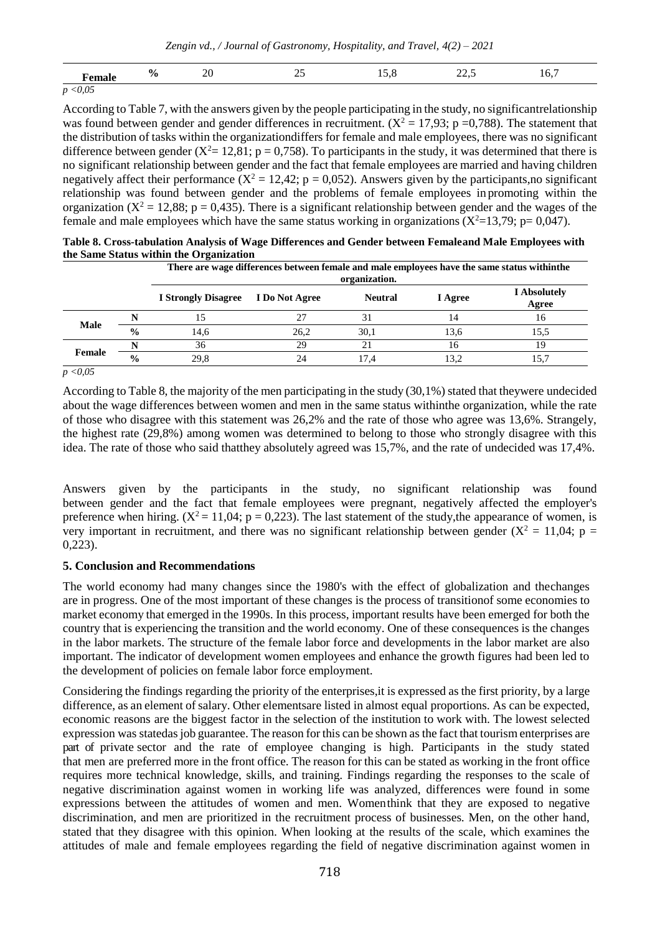*Zengin vd., / Journal of Gastronomy, Hospitality, and Travel, 4(2) – 2021*

| 0<br> | nn.<br>∠∪<br>$\sim$ |  | $\cdot$<br>$\frac{1}{2}$ | 1 v. |
|-------|---------------------|--|--------------------------|------|
|       |                     |  |                          |      |

*p <0,05*

According to Table 7, with the answers given by the people participating in the study, no significantrelationship was found between gender and gender differences in recruitment.  $(X^2 = 17.93; p = 0.788)$ . The statement that the distribution of tasks within the organizationdiffers for female and male employees, there was no significant difference between gender ( $X^2 = 12,81$ ; p = 0,758). To participants in the study, it was determined that there is no significant relationship between gender and the fact that female employees are married and having children negatively affect their performance  $(X^2 = 12, 42; p = 0, 052)$ . Answers given by the participants,no significant relationship was found between gender and the problems of female employees in promoting within the organization ( $X^2 = 12,88$ ; p = 0,435). There is a significant relationship between gender and the wages of the female and male employees which have the same status working in organizations  $(X^2=13,79; p= 0,047)$ .

|               |                            |                | There are wage differences between female and male employees have the same status within the<br>organization. |         |                              |  |  |  |  |
|---------------|----------------------------|----------------|---------------------------------------------------------------------------------------------------------------|---------|------------------------------|--|--|--|--|
|               | <b>I Strongly Disagree</b> | I Do Not Agree | <b>Neutral</b>                                                                                                | I Agree | <b>I</b> Absolutely<br>Agree |  |  |  |  |
|               |                            |                |                                                                                                               | 14      | 16                           |  |  |  |  |
| $\frac{0}{0}$ | 14,6                       | 26,2           | 30,1                                                                                                          | 13.6    | 15.5                         |  |  |  |  |
|               | 36                         | 29             |                                                                                                               | 16      | 19                           |  |  |  |  |
| $\frac{0}{0}$ | 29,8                       | 24             | 17.4                                                                                                          | 13,2    | 15,7                         |  |  |  |  |
|               |                            |                |                                                                                                               |         |                              |  |  |  |  |

| Table 8. Cross-tabulation Analysis of Wage Differences and Gender between Femaleand Male Employees with |
|---------------------------------------------------------------------------------------------------------|
| the Same Status within the Organization                                                                 |

*p <0,05*

According to Table 8, the majority of the men participating in the study  $(30,1%)$  stated that theywere undecided about the wage differences between women and men in the same status withinthe organization, while the rate of those who disagree with this statement was 26,2% and the rate of those who agree was 13,6%. Strangely, the highest rate (29,8%) among women was determined to belong to those who strongly disagree with this idea. The rate of those who said thatthey absolutely agreed was 15,7%, and the rate of undecided was 17,4%.

Answers given by the participants in the study, no significant relationship was found between gender and the fact that female employees were pregnant, negatively affected the employer's preference when hiring.  $(X^2 = 11,04; p = 0,223)$ . The last statement of the study, the appearance of women, is very important in recruitment, and there was no significant relationship between gender ( $X^2 = 11,04$ ; p = 0,223).

# **5. Conclusion and Recommendations**

The world economy had many changes since the 1980's with the effect of globalization and thechanges are in progress. One of the most important of these changes is the process of transitionof some economies to market economy that emerged in the 1990s. In this process, important results have been emerged for both the country that is experiencing the transition and the world economy. One of these consequences is the changes in the labor markets. The structure of the female labor force and developments in the labor market are also important. The indicator of development women employees and enhance the growth figures had been led to the development of policies on female labor force employment.

Considering the findings regarding the priority of the enterprises,it is expressed as the first priority, by a large difference, as an element of salary. Other elementsare listed in almost equal proportions. As can be expected, economic reasons are the biggest factor in the selection of the institution to work with. The lowest selected expression was statedasjob guarantee. The reason for this can be shown asthe fact that tourism enterprises are part of private sector and the rate of employee changing is high. Participants in the study stated that men are preferred more in the front office. The reason for this can be stated as working in the front office requires more technical knowledge, skills, and training. Findings regarding the responses to the scale of negative discrimination against women in working life was analyzed, differences were found in some expressions between the attitudes of women and men. Womenthink that they are exposed to negative discrimination, and men are prioritized in the recruitment process of businesses. Men, on the other hand, stated that they disagree with this opinion. When looking at the results of the scale, which examines the attitudes of male and female employees regarding the field of negative discrimination against women in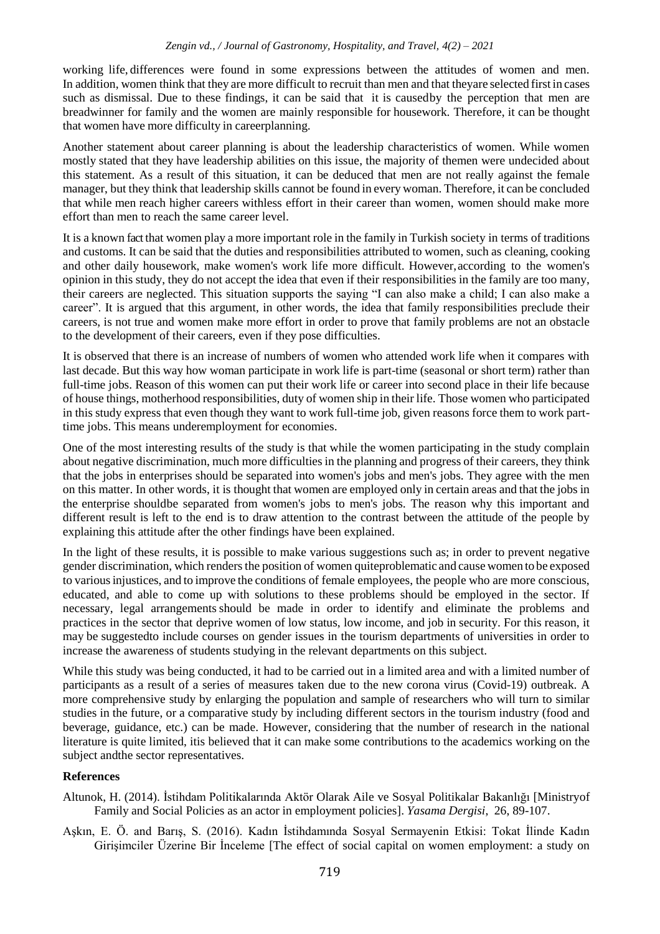working life, differences were found in some expressions between the attitudes of women and men. In addition, women think that they are more difficult to recruit than men and that theyare selected first in cases such as dismissal. Due to these findings, it can be said that it is causedby the perception that men are breadwinner for family and the women are mainly responsible for housework. Therefore, it can be thought that women have more difficulty in careerplanning.

Another statement about career planning is about the leadership characteristics of women. While women mostly stated that they have leadership abilities on this issue, the majority of themen were undecided about this statement. As a result of this situation, it can be deduced that men are not really against the female manager, but they think that leadership skills cannot be found in every woman. Therefore, it can be concluded that while men reach higher careers withless effort in their career than women, women should make more effort than men to reach the same career level.

It is a known fact that women play a more important role in the family in Turkish society in terms of traditions and customs. It can be said that the duties and responsibilities attributed to women, such as cleaning, cooking and other daily housework, make women's work life more difficult. However,according to the women's opinion in this study, they do not accept the idea that even if their responsibilities in the family are too many, their careers are neglected. This situation supports the saying "I can also make a child; I can also make a career". It is argued that this argument, in other words, the idea that family responsibilities preclude their careers, is not true and women make more effort in order to prove that family problems are not an obstacle to the development of their careers, even if they pose difficulties.

It is observed that there is an increase of numbers of women who attended work life when it compares with last decade. But this way how woman participate in work life is part-time (seasonal or short term) rather than full-time jobs. Reason of this women can put their work life or career into second place in their life because of house things, motherhood responsibilities, duty of women ship in their life. Those women who participated in this study express that even though they want to work full-time job, given reasons force them to work parttime jobs. This means underemployment for economies.

One of the most interesting results of the study is that while the women participating in the study complain about negative discrimination, much more difficulties in the planning and progress of their careers, they think that the jobs in enterprises should be separated into women's jobs and men's jobs. They agree with the men on this matter. In other words, it is thought that women are employed only in certain areas and that the jobs in the enterprise shouldbe separated from women's jobs to men's jobs. The reason why this important and different result is left to the end is to draw attention to the contrast between the attitude of the people by explaining this attitude after the other findings have been explained.

In the light of these results, it is possible to make various suggestions such as; in order to prevent negative gender discrimination, which renders the position of women quiteproblematic and cause women to be exposed to variousinjustices, and to improve the conditions of female employees, the people who are more conscious, educated, and able to come up with solutions to these problems should be employed in the sector. If necessary, legal arrangements should be made in order to identify and eliminate the problems and practices in the sector that deprive women of low status, low income, and job in security. For this reason, it may be suggestedto include courses on gender issues in the tourism departments of universities in order to increase the awareness of students studying in the relevant departments on this subject.

While this study was being conducted, it had to be carried out in a limited area and with a limited number of participants as a result of a series of measures taken due to the new corona virus (Covid-19) outbreak. A more comprehensive study by enlarging the population and sample of researchers who will turn to similar studies in the future, or a comparative study by including different sectors in the tourism industry (food and beverage, guidance, etc.) can be made. However, considering that the number of research in the national literature is quite limited, itis believed that it can make some contributions to the academics working on the subject andthe sector representatives.

#### **References**

- Altunok, H. (2014). İstihdam Politikalarında Aktör Olarak Aile ve Sosyal Politikalar Bakanlığı [Ministryof Family and Social Policies as an actor in employment policies]. *Yasama Dergisi*, 26, 89-107.
- Aşkın, E. Ö. and Barış, S. (2016). Kadın İstihdamında Sosyal Sermayenin Etkisi: Tokat İlinde Kadın Girişimciler Üzerine Bir İnceleme [The effect of social capital on women employment: a study on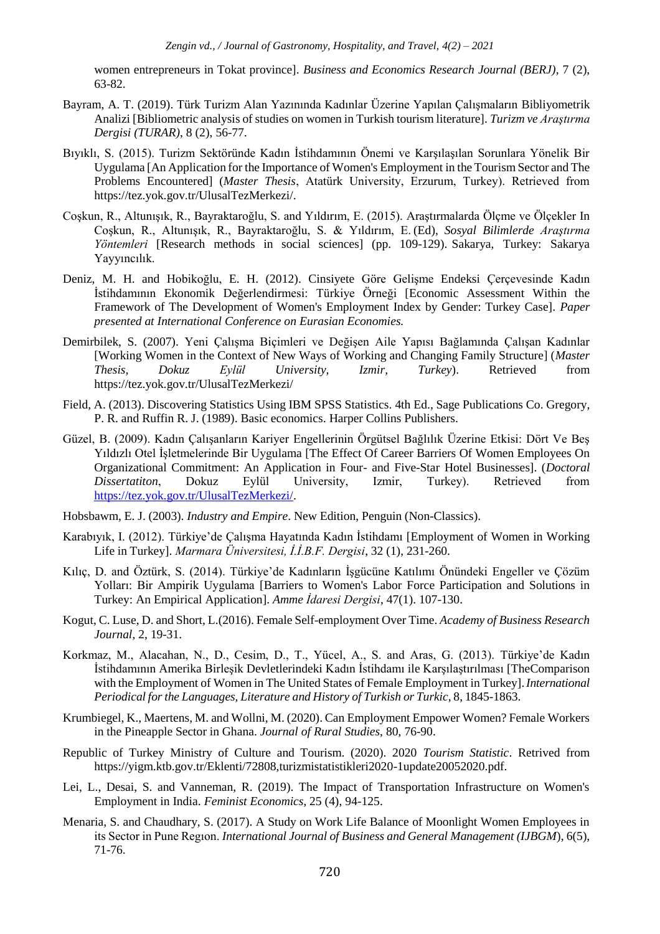women entrepreneurs in Tokat province]. *Business and Economics Research Journal (BERJ)*, 7 (2), 63-82.

- Bayram, A. T. (2019). Türk Turizm Alan Yazınında Kadınlar Üzerine Yapılan Çalışmaların Bibliyometrik Analizi [Bibliometric analysis of studies on women in Turkish tourism literature]. *Turizm ve Araştırma Dergisi (TURAR)*, 8 (2), 56-77.
- Bıyıklı, S. (2015). Turizm Sektöründe Kadın İstihdamının Önemi ve Karşılaşılan Sorunlara Yönelik Bir Uygulama [An Application for the Importance of Women's Employment in the Tourism Sector and The Problems Encountered] (*Master Thesis*, Atatürk University, Erzurum, Turkey). Retrieved from https://tez.yok.gov.tr/UlusalTezMerkezi/.
- Coşkun, R., Altunışık, R., Bayraktaroğlu, S. and Yıldırım, E. (2015). Araştırmalarda Ölçme ve Ölçekler In Coşkun, R., Altunışık, R., Bayraktaroğlu, S. & Yıldırım, E. (Ed), *Sosyal Bilimlerde Araştırma Yöntemleri* [Research methods in social sciences] (pp. 109-129). Sakarya, Turkey: Sakarya Yayyıncılık.
- Deniz, M. H. and Hobikoğlu, E. H. (2012). Cinsiyete Göre Gelişme Endeksi Çerçevesinde Kadın İstihdamının Ekonomik Değerlendirmesi: Türkiye Örneği [Economic Assessment Within the Framework of The Development of Women's Employment Index by Gender: Turkey Case]. *Paper presented at International Conference on Eurasian Economies.*
- Demirbilek, S. (2007). Yeni Çalışma Biçimleri ve Değişen Aile Yapısı Bağlamında Çalışan Kadınlar [Working Women in the Context of New Ways of Working and Changing Family Structure] (*Master Thesis, Dokuz Eylül University, Izmir, Turkey*). Retrieved from https://tez.yok.gov.tr/UlusalTezMerkezi/
- Field, A. (2013). Discovering Statistics Using IBM SPSS Statistics. 4th Ed., Sage Publications Co. Gregory, P. R. and Ruffin R. J. (1989). Basic economics. Harper Collins Publishers.
- Güzel, B. (2009). Kadın Çalışanların Kariyer Engellerinin Örgütsel Bağlılık Üzerine Etkisi: Dört Ve Beş Yıldızlı Otel İşletmelerinde Bir Uygulama [The Effect Of Career Barriers Of Women Employees On Organizational Commitment: An Application in Four- and Five-Star Hotel Businesses]. (*Doctoral Dissertatiton*, Dokuz Eylül University, Izmir, Turkey). Retrieved from [https://tez.yok.gov.tr/UlusalTezMerkezi/.](https://tez.yok.gov.tr/UlusalTezMerkezi/)
- Hobsbawm, E. J. (2003). *Industry and Empire*. New Edition, Penguin (Non-Classics).
- Karabıyık, I. (2012). Türkiye'de Çalışma Hayatında Kadın İstihdamı [Employment of Women in Working Life in Turkey]. *Marmara Üniversitesi, İ.İ.B.F. Dergisi*, 32 (1), 231-260.
- Kılıç, D. and Öztürk, S. (2014). Türkiye'de Kadınların İşgücüne Katılımı Önündeki Engeller ve Çözüm Yolları: Bir Ampirik Uygulama [Barriers to Women's Labor Force Participation and Solutions in Turkey: An Empirical Application]. *Amme İdaresi Dergisi*, 47(1). 107-130.
- Kogut, C. Luse, D. and Short, L.(2016). Female Self-employment Over Time. *Academy of Business Research Journal*, 2, 19-31.
- Korkmaz, M., Alacahan, N., D., Cesim, D., T., Yücel, A., S. and Aras, G. (2013). Türkiye'de Kadın İstihdamının Amerika Birleşik Devletlerindeki Kadın İstihdamı ile Karşılaştırılması [TheComparison with the Employment of Women in The United States of Female Employment in Turkey].*International Periodical forthe Languages, Literature and History of Turkish or Turkic*, 8, 1845-1863.
- Krumbiegel, K., Maertens, M. and Wollni, M. (2020). Can Employment Empower Women? Female Workers in the Pineapple Sector in Ghana. *Journal of Rural Studies*, 80, 76-90.
- Republic of Turkey Ministry of Culture and Tourism. (2020). 2020 *Tourism Statistic*. Retrived from https://yigm.ktb.gov.tr/Eklenti/72808,turizmistatistikleri2020-1update20052020.pdf.
- Lei, L., Desai, S. and Vanneman, R. (2019). The Impact of Transportation Infrastructure on Women's Employment in India. *Feminist Economics*, 25 (4), 94-125.
- Menaria, S. and Chaudhary, S. (2017). A Study on Work Life Balance of Moonlight Women Employees in its Sector in Pune Regıon. *International Journal of Business and General Management (IJBGM*), 6(5), 71-76.